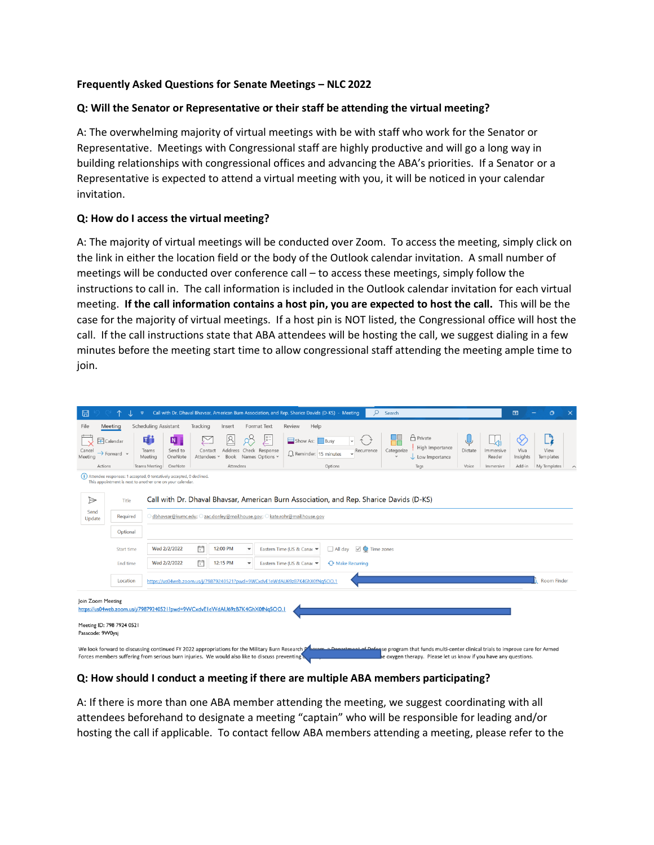### **Frequently Asked Questions for Senate Meetings – NLC 2022**

## **Q: Will the Senator or Representative or their staff be attending the virtual meeting?**

A: The overwhelming majority of virtual meetings with be with staff who work for the Senator or Representative. Meetings with Congressional staff are highly productive and will go a long way in building relationships with congressional offices and advancing the ABA's priorities. If a Senator or a Representative is expected to attend a virtual meeting with you, it will be noticed in your calendar invitation.

## **Q: How do I access the virtual meeting?**

A: The majority of virtual meetings will be conducted over Zoom. To access the meeting, simply click on the link in either the location field or the body of the Outlook calendar invitation. A small number of meetings will be conducted over conference call – to access these meetings, simply follow the instructions to call in. The call information is included in the Outlook calendar invitation for each virtual meeting. **If the call information contains a host pin, you are expected to host the call.** This will be the case for the majority of virtual meetings. If a host pin is NOT listed, the Congressional office will host the call. If the call instructions state that ABA attendees will be hosting the call, we suggest dialing in a few minutes before the meeting start time to allow congressional staff attending the meeting ample time to join.

| 日                                                                                                                                                                                                                                                                                                                                                                                       |                                                                                                  | $\overline{\mathbf{v}}$                                                                                                              |                        |              |                                             | Call with Dr. Dhaval Bhavsar, American Burn Association, and Rep. Sharice Davids (D-KS) - Meeting | Q                          | Search                                                               |         |                     | 囨                     | $\Omega$          | $\times$ |
|-----------------------------------------------------------------------------------------------------------------------------------------------------------------------------------------------------------------------------------------------------------------------------------------------------------------------------------------------------------------------------------------|--------------------------------------------------------------------------------------------------|--------------------------------------------------------------------------------------------------------------------------------------|------------------------|--------------|---------------------------------------------|---------------------------------------------------------------------------------------------------|----------------------------|----------------------------------------------------------------------|---------|---------------------|-----------------------|-------------------|----------|
| File                                                                                                                                                                                                                                                                                                                                                                                    | Meeting                                                                                          | <b>Scheduling Assistant</b>                                                                                                          | Tracking               | Insert       | <b>Format Text</b>                          | Help<br>Review                                                                                    |                            |                                                                      |         |                     |                       |                   |          |
| Meeting                                                                                                                                                                                                                                                                                                                                                                                 | Calendar<br>$\rightarrow$ Forward $\sim$                                                         | tj)<br>N<br>Send to<br>Teams<br>OneNote<br>Meeting                                                                                   | Contact<br>Attendees v | R<br>Address | E<br>Check Response<br>Book Names Options v | Show As: Busy<br>Reminder: 15 minutes                                                             | $\checkmark$<br>Recurrence | $\bigcap$ Private<br>High Importance<br>Categorize<br>Low Importance | Dictate | Immersive<br>Reader | ⇙<br>Viva<br>Insights | View<br>Templates |          |
| Actions                                                                                                                                                                                                                                                                                                                                                                                 |                                                                                                  | OneNote<br>Teams Meeting                                                                                                             |                        | Attendees    |                                             |                                                                                                   | Options                    | Tags                                                                 | Voice   | Immersive           | Add-in                | My Templates      |          |
|                                                                                                                                                                                                                                                                                                                                                                                         |                                                                                                  | (i) Attendee responses: 1 accepted, 0 tentatively accepted, 0 declined.<br>This appointment is next to another one on your calendar. |                        |              |                                             |                                                                                                   |                            |                                                                      |         |                     |                       |                   |          |
| $\triangleright$<br>Send                                                                                                                                                                                                                                                                                                                                                                | Call with Dr. Dhaval Bhavsar, American Burn Association, and Rep. Sharice Davids (D-KS)<br>Title |                                                                                                                                      |                        |              |                                             |                                                                                                   |                            |                                                                      |         |                     |                       |                   |          |
| Update                                                                                                                                                                                                                                                                                                                                                                                  | Required                                                                                         | Odbhavsar@kumc.edu; Ozac.donley@mail.house.gov; Okate.rohr@mail.house.gov                                                            |                        |              |                                             |                                                                                                   |                            |                                                                      |         |                     |                       |                   |          |
|                                                                                                                                                                                                                                                                                                                                                                                         | Optional                                                                                         |                                                                                                                                      |                        |              |                                             |                                                                                                   |                            |                                                                      |         |                     |                       |                   |          |
| Start time                                                                                                                                                                                                                                                                                                                                                                              |                                                                                                  | Wed 2/2/2022                                                                                                                         | Ē                      | 12:00 PM     | $\overline{\phantom{a}}$                    | $\vee$ $\bullet$ Time zones<br>Eastern Time (US & Canac ▼<br>All day                              |                            |                                                                      |         |                     |                       |                   |          |
|                                                                                                                                                                                                                                                                                                                                                                                         | End time                                                                                         | Wed 2/2/2022                                                                                                                         | 曲                      | 12:15 PM     | $\overline{\phantom{a}}$                    | Eastern Time (US & Canac                                                                          | Make Recurring             |                                                                      |         |                     |                       |                   |          |
| Location<br>https://us04web.zoom.us/j/79879240521?pwd=9WCxdvE1eWdAU69zB7K4GhX0fNq5OO.1                                                                                                                                                                                                                                                                                                  |                                                                                                  |                                                                                                                                      |                        |              |                                             | <b>Room Finder</b>                                                                                |                            |                                                                      |         |                     |                       |                   |          |
| Join Zoom Meeting                                                                                                                                                                                                                                                                                                                                                                       |                                                                                                  | https://us04web.zoom.us/j/79879240521?pwd=9WCxdvE1eWdAU69zB7K4GhX0fNq5OO.1                                                           |                        |              |                                             |                                                                                                   |                            |                                                                      |         |                     |                       |                   |          |
| Meeting ID: 798 7924 0521<br>Passcode: 9VV0ysj                                                                                                                                                                                                                                                                                                                                          |                                                                                                  |                                                                                                                                      |                        |              |                                             |                                                                                                   |                            |                                                                      |         |                     |                       |                   |          |
| We look forward to discussing continued FY 2022 appropriations for the Military Burn Research P<br><b>Noram, a Denartment of Defense program that funds multi-center clinical trials to improve care for Armed</b><br>Forces members suffering from serious burn injuries. We would also like to discuss preventing<br>le oxygen therapy. Please let us know if you have any questions. |                                                                                                  |                                                                                                                                      |                        |              |                                             |                                                                                                   |                            |                                                                      |         |                     |                       |                   |          |

# **Q: How should I conduct a meeting if there are multiple ABA members participating?**

A: If there is more than one ABA member attending the meeting, we suggest coordinating with all attendees beforehand to designate a meeting "captain" who will be responsible for leading and/or hosting the call if applicable. To contact fellow ABA members attending a meeting, please refer to the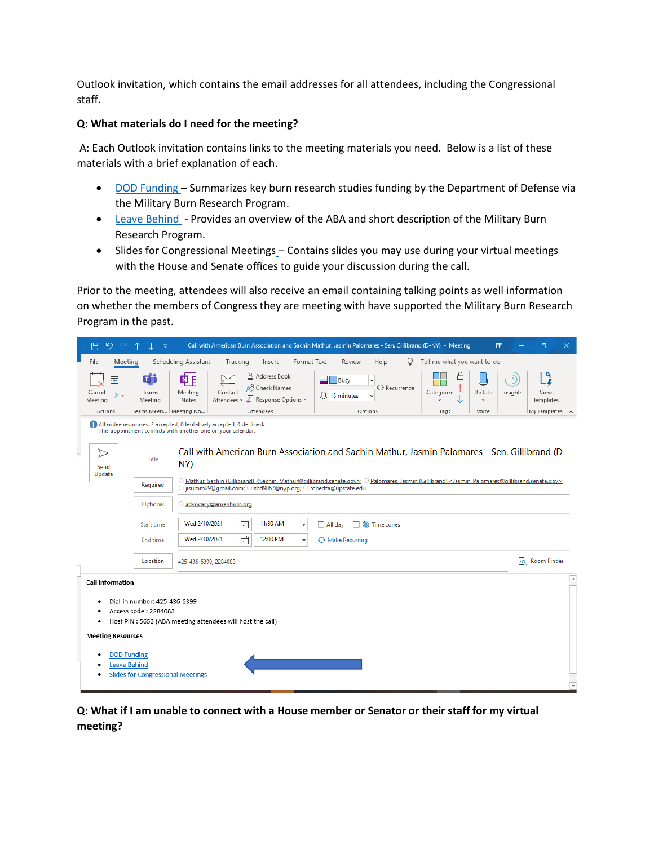Outlook invitation, which contains the email addresses for all attendees, including the Congressional staff.

## **Q: What materials do I need for the meeting?**

A: Each Outlook invitation contains links to the meeting materials you need. Below is a list of these materials with a brief explanation of each.

- [DOD Funding](https://ameriburn.org/wp-content/uploads/2022/01/dod-funding-2021.pdf) Summarizes key burn research studies funding by the Department of Defense via the Military Burn Research Program.
- [Leave Behind](https://ameriburn.org/wp-content/uploads/2022/01/nlc-leave-behind-3.pdf) Provides an overview of the ABA and short description of the Military Burn Research Program.
- Slides for Congressional Meetings Contains slides you may use during your virtual meetings with the House and Senate offices to guide your discussion during the call.

Prior to the meeting, attendees will also receive an email containing talking points as well information on whether the members of Congress they are meeting with have supported the Military Burn Research Program in the past.

|   | り<br>旧                                                   | $\overline{\mathbf{v}}$                                                                                                              | Call with American Burn Association and Sachin Mathur, Jasmin Palomares - Sen. Gillibrand (D-NY) - Meeting<br>$\Box$<br>闲                                                                                                                                                                     | ×                      |  |  |  |  |  |  |  |
|---|----------------------------------------------------------|--------------------------------------------------------------------------------------------------------------------------------------|-----------------------------------------------------------------------------------------------------------------------------------------------------------------------------------------------------------------------------------------------------------------------------------------------|------------------------|--|--|--|--|--|--|--|
|   | Meeting<br>File                                          |                                                                                                                                      | Scheduling Assistant<br>Tell me what you want to do<br>Tracking<br>Format Text<br>Review<br>Help<br>Q<br>Insert                                                                                                                                                                               |                        |  |  |  |  |  |  |  |
|   | 宕<br>Cancel<br>$\rightarrow$ $\sim$<br>Meeting           | di<br>Teams<br>Meeting                                                                                                               | Address Book<br>四目<br>ᆓ<br>Busy<br>o <sub>2</sub> Check Names<br>Recurrence<br>Contact<br>Meeting<br>Categorize<br>Insights<br>View<br>Dictate<br>$\lfloor \frac{1}{2} \rfloor$ 15 minutes<br>$\ddot{\phantom{0}}$<br>Response Options ~<br>Attendees ~<br>Notes<br>Templates<br>$\checkmark$ | -4                     |  |  |  |  |  |  |  |
|   | Actions                                                  | Teams Meeti   Meeting No                                                                                                             | Attendees<br>Options<br>Voice<br>Tags                                                                                                                                                                                                                                                         | My Templates $\lambda$ |  |  |  |  |  |  |  |
|   |                                                          | Attendee responses: 2 accepted, 0 tentatively accepted, 0 declined.<br>This appointment conflicts with another one on your calendar. |                                                                                                                                                                                                                                                                                               |                        |  |  |  |  |  |  |  |
| ۰ | $\Rightarrow$<br>Send<br>Update                          | Title                                                                                                                                | Call with American Burn Association and Sachin Mathur, Jasmin Palomares - Sen. Gillibrand (D-<br>NY)                                                                                                                                                                                          |                        |  |  |  |  |  |  |  |
|   |                                                          | Required                                                                                                                             | O Mathur, Sachin (Gillibrand) <sachin mathur@qillibrand.senate.gov="">; O Palomares, Jasmin (Gillibrand) <jasmin palomares@qillibrand.senate.gov="">;<br/>O jisumm29@gmail.com; O shd9067@nyp.org; O robertta@upstate.edu</jasmin></sachin>                                                   |                        |  |  |  |  |  |  |  |
|   |                                                          | Optional                                                                                                                             | advocacy@ameriburn.org                                                                                                                                                                                                                                                                        |                        |  |  |  |  |  |  |  |
|   |                                                          | Start time                                                                                                                           | Wed 2/10/2021<br>曲<br>11:30 AM<br>$\Box$ All day<br>O<br>Time zones<br>٠                                                                                                                                                                                                                      |                        |  |  |  |  |  |  |  |
|   |                                                          | End time                                                                                                                             | 户<br>Wed 2/10/2021<br>12:00 PM<br>Make Recurring<br>$\overline{\phantom{a}}$                                                                                                                                                                                                                  |                        |  |  |  |  |  |  |  |
|   |                                                          | Location                                                                                                                             | Room Finder<br>425-436-6399, 2284083                                                                                                                                                                                                                                                          |                        |  |  |  |  |  |  |  |
|   | <b>Call Information</b>                                  |                                                                                                                                      |                                                                                                                                                                                                                                                                                               | $\blacktriangle$       |  |  |  |  |  |  |  |
|   | ٠<br>٠<br><b>Meeting Resources</b><br><b>DOD Funding</b> | Dial-in number: 425-436-6399<br>Access code: 2284083                                                                                 | Host PIN : 5653 (ABA meeting attendees will host the call)                                                                                                                                                                                                                                    |                        |  |  |  |  |  |  |  |
|   |                                                          | <b>Leave Behind</b><br><b>Slides for Congressional Meetings</b>                                                                      |                                                                                                                                                                                                                                                                                               |                        |  |  |  |  |  |  |  |
|   |                                                          |                                                                                                                                      |                                                                                                                                                                                                                                                                                               |                        |  |  |  |  |  |  |  |

**Q: What if I am unable to connect with a House member or Senator or their staff for my virtual meeting?**